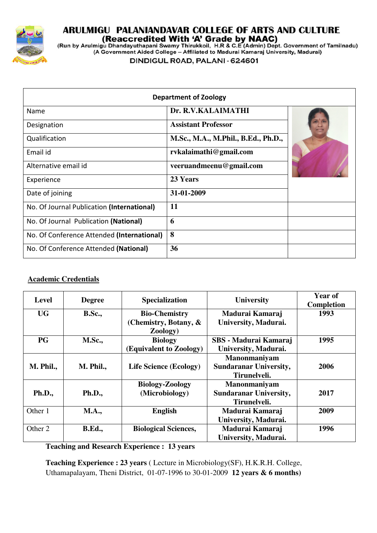

# ARULMIGU PALANIANDAVAR COLLEGE OF ARTS AND CULTURE

(Run by Arulmigu Dhandayuthapani Swamy Thirukkoil, H.R & C.E (Admin) Dept. Government of Tamilnadu)<br>(A Government Aided College – Affiliated to Madurai Kamaraj University, Madurai)

DINDIGUL ROAD, PALANI - 624601

| <b>Department of Zoology</b>               |                                     |  |  |  |
|--------------------------------------------|-------------------------------------|--|--|--|
| Name                                       | Dr. R.V.KALAIMATHI                  |  |  |  |
| Designation                                | <b>Assistant Professor</b>          |  |  |  |
| Qualification                              | M.Sc., M.A., M.Phil., B.Ed., Ph.D., |  |  |  |
| Email id                                   | rvkalaimathi@gmail.com              |  |  |  |
| Alternative email id                       | veeruandmeenu@gmail.com             |  |  |  |
| Experience                                 | 23 Years                            |  |  |  |
| Date of joining                            | 31-01-2009                          |  |  |  |
| No. Of Journal Publication (International) | 11                                  |  |  |  |
| No. Of Journal Publication (National)      | 6                                   |  |  |  |
| No. Of Conference Attended (International) | 8                                   |  |  |  |
| No. Of Conference Attended (National)      | 36                                  |  |  |  |

### **Academic Credentials**

| <b>Level</b>  | <b>Degree</b> | <b>Specialization</b>         | <b>University</b>             | Year of<br>Completion |
|---------------|---------------|-------------------------------|-------------------------------|-----------------------|
| <b>UG</b>     | <b>B.Sc.,</b> | <b>Bio-Chemistry</b>          | Madurai Kamaraj               | 1993                  |
|               |               | (Chemistry, Botany, &         | University, Madurai.          |                       |
|               |               | Zoology)                      |                               |                       |
| <b>PG</b>     | <b>M.Sc.,</b> | <b>Biology</b>                | SBS - Madurai Kamaraj         | 1995                  |
|               |               | (Equivalent to Zoology)       | University, Madurai.          |                       |
|               |               |                               | Manonmaniyam                  |                       |
| M. Phil.,     | M. Phil.,     | <b>Life Science (Ecology)</b> | <b>Sundaranar University,</b> | 2006                  |
|               |               |                               | Tirunelveli.                  |                       |
|               |               | <b>Biology-Zoology</b>        | Manonmaniyam                  |                       |
| <b>Ph.D.,</b> | <b>Ph.D.,</b> | (Microbiology)                | <b>Sundaranar University,</b> | 2017                  |
|               |               |                               | Tirunelveli.                  |                       |
| Other 1       | <b>M.A.,</b>  | <b>English</b>                | Madurai Kamaraj               | 2009                  |
|               |               |                               | University, Madurai.          |                       |
| Other 2       | <b>B.Ed.,</b> | <b>Biological Sciences,</b>   | Madurai Kamaraj               | 1996                  |
|               |               |                               | University, Madurai.          |                       |

**Teaching and Research Experience : 13 years**

**Teaching Experience : 23 years**  ( Lecture in Microbiology(SF), H.K.R.H. College, Uthamapalayam, Theni District, 01-07-1996 to 30-01-2009 **12 years & 6 months)**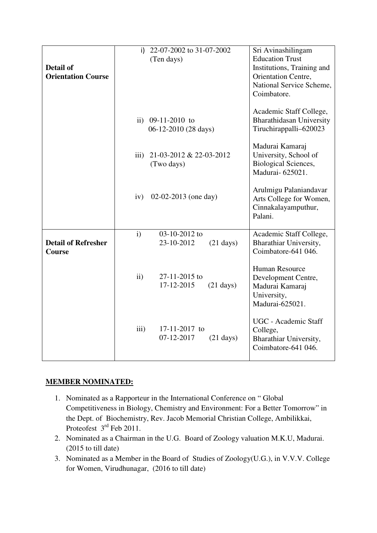| <b>Detail of</b><br><b>Orientation Course</b> |                         | i) 22-07-2002 to 31-07-2002<br>(Ten days)   |                     | Sri Avinashilingam<br><b>Education Trust</b><br>Institutions, Training and<br>Orientation Centre,<br>National Service Scheme,<br>Coimbatore. |
|-----------------------------------------------|-------------------------|---------------------------------------------|---------------------|----------------------------------------------------------------------------------------------------------------------------------------------|
|                                               |                         | ii) $09-11-2010$ to<br>06-12-2010 (28 days) |                     | Academic Staff College,<br><b>Bharathidasan University</b><br>Tiruchirappalli-620023                                                         |
|                                               | $\overline{\text{iii}}$ | 21-03-2012 & 22-03-2012<br>(Two days)       |                     | Madurai Kamaraj<br>University, School of<br><b>Biological Sciences,</b><br>Madurai-625021.                                                   |
|                                               | iv)                     | $02-02-2013$ (one day)                      |                     | Arulmigu Palaniandavar<br>Arts College for Women,<br>Cinnakalayamputhur,<br>Palani.                                                          |
| <b>Detail of Refresher</b><br>Course          | $\mathbf{i}$            | 03-10-2012 to<br>23-10-2012                 | $(21 \text{ days})$ | Academic Staff College,<br>Bharathiar University,<br>Coimbatore-641 046.                                                                     |
|                                               | ii)                     | 27-11-2015 to<br>17-12-2015                 | $(21 \text{ days})$ | <b>Human Resource</b><br>Development Centre,<br>Madurai Kamaraj<br>University,<br>Madurai-625021.                                            |
|                                               | iii)                    | 17-11-2017 to<br>07-12-2017                 | $(21 \text{ days})$ | UGC - Academic Staff<br>College,<br>Bharathiar University,<br>Coimbatore-641 046.                                                            |

# **MEMBER NOMINATED:**

- 1. Nominated as a Rapporteur in the International Conference on " Global Competitiveness in Biology, Chemistry and Environment: For a Better Tomorrow" in the Dept. of Biochemistry, Rev. Jacob Memorial Christian College, Ambilikkai, Proteofest  $3<sup>rd</sup>$  Feb 2011.
- 2. Nominated as a Chairman in the U.G. Board of Zoology valuation M.K.U, Madurai. (2015 to till date)
- 3. Nominated as a Member in the Board of Studies of Zoology(U.G.), in V.V.V. College for Women, Virudhunagar, (2016 to till date)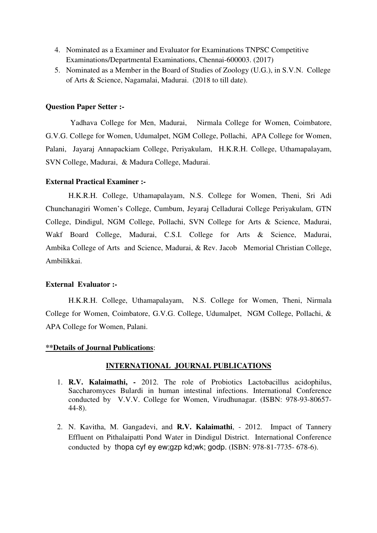- 4. Nominated as a Examiner and Evaluator for Examinations TNPSC Competitive Examinations/Departmental Examinations, Chennai-600003. (2017)
- 5. Nominated as a Member in the Board of Studies of Zoology (U.G.), in S.V.N. College of Arts & Science, Nagamalai, Madurai. (2018 to till date).

#### **Question Paper Setter :-**

 Yadhava College for Men, Madurai, Nirmala College for Women, Coimbatore, G.V.G. College for Women, Udumalpet, NGM College, Pollachi, APA College for Women, Palani, Jayaraj Annapackiam College, Periyakulam, H.K.R.H. College, Uthamapalayam, SVN College, Madurai, & Madura College, Madurai.

#### **External Practical Examiner :-**

H.K.R.H. College, Uthamapalayam, N.S. College for Women, Theni, Sri Adi Chunchanagiri Women's College, Cumbum, Jeyaraj Celladurai College Periyakulam, GTN College, Dindigul, NGM College, Pollachi, SVN College for Arts & Science, Madurai, Wakf Board College, Madurai, C.S.I. College for Arts & Science, Madurai, Ambika College of Arts and Science, Madurai, & Rev. Jacob Memorial Christian College, Ambilikkai.

#### **External Evaluator :-**

H.K.R.H. College, Uthamapalayam, N.S. College for Women, Theni, Nirmala College for Women, Coimbatore, G.V.G. College, Udumalpet, NGM College, Pollachi, & APA College for Women, Palani.

#### **\*\*Details of Journal Publications**:

#### **INTERNATIONAL JOURNAL PUBLICATIONS**

- 1. **R.V. Kalaimathi,** 2012. The role of Probiotics Lactobacillus acidophilus, Saccharomyces Bulardi in human intestinal infections. International Conference conducted by V.V.V. College for Women, Virudhunagar. (ISBN: 978-93-80657- 44-8).
- 2. N. Kavitha, M. Gangadevi, and **R.V. Kalaimathi**, 2012. Impact of Tannery Effluent on Pithalaipatti Pond Water in Dindigul District. International Conference conducted by thopa cyf ey ew;gzp kd;wk; godp. (ISBN: 978-81-7735- 678-6).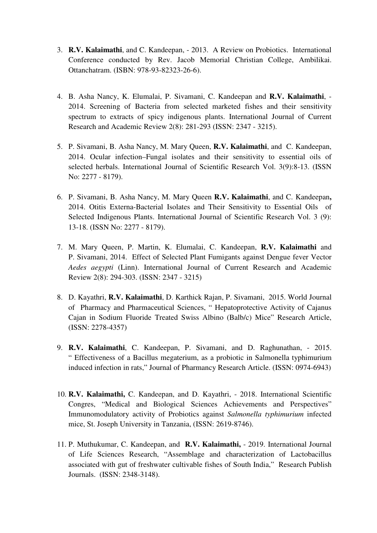- 3. **R.V. Kalaimathi**, and C. Kandeepan, 2013. A Review on Probiotics. International Conference conducted by Rev. Jacob Memorial Christian College, Ambilikai. Ottanchatram. (ISBN: 978-93-82323-26-6).
- 4. B. Asha Nancy, K. Elumalai, P. Sivamani, C. Kandeepan and **R.V. Kalaimathi**, 2014. Screening of Bacteria from selected marketed fishes and their sensitivity spectrum to extracts of spicy indigenous plants. International Journal of Current Research and Academic Review 2(8): 281-293 (ISSN: 2347 - 3215).
- 5. P. Sivamani, B. Asha Nancy, M. Mary Queen, **R.V. Kalaimathi**, and C. Kandeepan, 2014. Ocular infection–Fungal isolates and their sensitivity to essential oils of selected herbals. International Journal of Scientific Research Vol. 3(9):8-13. (ISSN No: 2277 - 8179).
- 6. P. Sivamani, B. Asha Nancy, M. Mary Queen **R.V. Kalaimathi**, and C. Kandeepan**,** 2014. Otitis Externa-Bacterial Isolates and Their Sensitivity to Essential Oils of Selected Indigenous Plants. International Journal of Scientific Research Vol. 3 (9): 13-18. (ISSN No: 2277 - 8179).
- 7. M. Mary Queen, P. Martin, K. Elumalai, C. Kandeepan, **R.V. Kalaimathi** and P. Sivamani, 2014. Effect of Selected Plant Fumigants against Dengue fever Vector *Aedes aegypti* (Linn). International Journal of Current Research and Academic Review 2(8): 294-303. (ISSN: 2347 - 3215)
- 8. D. Kayathri, **R.V. Kalaimathi**, D. Karthick Rajan, P. Sivamani, 2015. World Journal of Pharmacy and Pharmaceutical Sciences, " Hepatoprotective Activity of Cajanus Cajan in Sodium Fluoride Treated Swiss Albino (Balb/c) Mice" Research Article, (ISSN: 2278-4357)
- 9. **R.V. Kalaimathi**, C. Kandeepan, P. Sivamani, and D. Raghunathan, 2015. " Effectiveness of a Bacillus megaterium, as a probiotic in Salmonella typhimurium induced infection in rats," Journal of Pharmancy Research Article. (ISSN: 0974-6943)
- 10. **R.V. Kalaimathi,** C. Kandeepan, and D. Kayathri, 2018. International Scientific Congres, "Medical and Biological Sciences Achievements and Perspectives" Immunomodulatory activity of Probiotics against *Salmonella typhimurium* infected mice, St. Joseph University in Tanzania, (ISSN: 2619-8746).
- 11. P. Muthukumar, C. Kandeepan, and **R.V. Kalaimathi,** 2019. International Journal of Life Sciences Research, "Assemblage and characterization of Lactobacillus associated with gut of freshwater cultivable fishes of South India," Research Publish Journals. (ISSN: 2348-3148).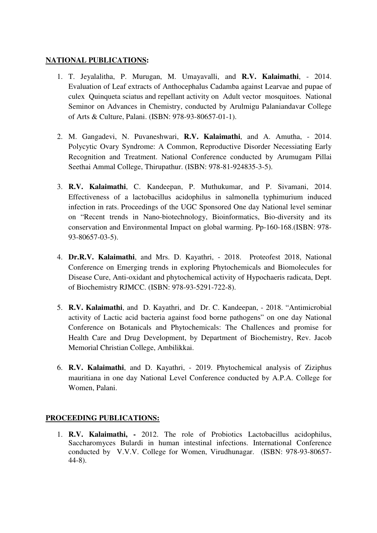#### **NATIONAL PUBLICATIONS:**

- 1. T. Jeyalalitha, P. Murugan, M. Umayavalli, and **R.V. Kalaimathi**, 2014. Evaluation of Leaf extracts of Anthocephalus Cadamba against Learvae and pupae of culex Quinqueta sciatus and repellant activity on Adult vector mosquitoes. National Seminor on Advances in Chemistry, conducted by Arulmigu Palaniandavar College of Arts & Culture, Palani. (ISBN: 978-93-80657-01-1).
- 2. M. Gangadevi, N. Puvaneshwari, **R.V. Kalaimathi**, and A. Amutha, 2014. Polycytic Ovary Syndrome: A Common, Reproductive Disorder Necessiating Early Recognition and Treatment. National Conference conducted by Arumugam Pillai Seethai Ammal College, Thirupathur. (ISBN: 978-81-924835-3-5).
- 3. **R.V. Kalaimathi**, C. Kandeepan, P. Muthukumar, and P. Sivamani, 2014. Effectiveness of a lactobacillus acidophilus in salmonella typhimurium induced infection in rats. Proceedings of the UGC Sponsored One day National level seminar on "Recent trends in Nano-biotechnology, Bioinformatics, Bio-diversity and its conservation and Environmental Impact on global warming. Pp-160-168.(ISBN: 978- 93-80657-03-5).
- 4. **Dr.R.V. Kalaimathi**, and Mrs. D. Kayathri, 2018. Proteofest 2018, National Conference on Emerging trends in exploring Phytochemicals and Biomolecules for Disease Cure, Anti-oxidant and phytochemical activity of Hypochaeris radicata, Dept. of Biochemistry RJMCC. (ISBN: 978-93-5291-722-8).
- 5. **R.V. Kalaimathi**, and D. Kayathri, and Dr. C. Kandeepan, 2018. "Antimicrobial activity of Lactic acid bacteria against food borne pathogens" on one day National Conference on Botanicals and Phytochemicals: The Challences and promise for Health Care and Drug Development, by Department of Biochemistry, Rev. Jacob Memorial Christian College, Ambilikkai.
- 6. **R.V. Kalaimathi**, and D. Kayathri, 2019. Phytochemical analysis of Ziziphus mauritiana in one day National Level Conference conducted by A.P.A. College for Women, Palani.

## **PROCEEDING PUBLICATIONS:**

1. **R.V. Kalaimathi, -** 2012. The role of Probiotics Lactobacillus acidophilus, Saccharomyces Bulardi in human intestinal infections. International Conference conducted by V.V.V. College for Women, Virudhunagar. (ISBN: 978-93-80657- 44-8).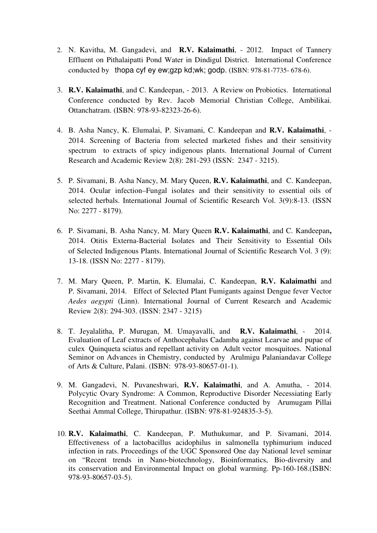- 2. N. Kavitha, M. Gangadevi, and **R.V. Kalaimathi**, 2012. Impact of Tannery Effluent on Pithalaipatti Pond Water in Dindigul District. International Conference conducted by thopa cyf ey ew;gzp kd;wk; godp. (ISBN: 978-81-7735- 678-6).
- 3. **R.V. Kalaimathi**, and C. Kandeepan, 2013. A Review on Probiotics. International Conference conducted by Rev. Jacob Memorial Christian College, Ambilikai. Ottanchatram. (ISBN: 978-93-82323-26-6).
- 4. B. Asha Nancy, K. Elumalai, P. Sivamani, C. Kandeepan and **R.V. Kalaimathi**, 2014. Screening of Bacteria from selected marketed fishes and their sensitivity spectrum to extracts of spicy indigenous plants. International Journal of Current Research and Academic Review 2(8): 281-293 (ISSN: 2347 - 3215).
- 5. P. Sivamani, B. Asha Nancy, M. Mary Queen, **R.V. Kalaimathi**, and C. Kandeepan, 2014. Ocular infection–Fungal isolates and their sensitivity to essential oils of selected herbals. International Journal of Scientific Research Vol. 3(9):8-13. (ISSN No: 2277 - 8179).
- 6. P. Sivamani, B. Asha Nancy, M. Mary Queen **R.V. Kalaimathi**, and C. Kandeepan**,** 2014. Otitis Externa-Bacterial Isolates and Their Sensitivity to Essential Oils of Selected Indigenous Plants. International Journal of Scientific Research Vol. 3 (9): 13-18. (ISSN No: 2277 - 8179).
- 7. M. Mary Queen, P. Martin, K. Elumalai, C. Kandeepan, **R.V. Kalaimathi** and P. Sivamani, 2014. Effect of Selected Plant Fumigants against Dengue fever Vector *Aedes aegypti* (Linn). International Journal of Current Research and Academic Review 2(8): 294-303. (ISSN: 2347 - 3215)
- 8. T. Jeyalalitha, P. Murugan, M. Umayavalli, and **R.V. Kalaimathi**, 2014. Evaluation of Leaf extracts of Anthocephalus Cadamba against Learvae and pupae of culex Quinqueta sciatus and repellant activity on Adult vector mosquitoes. National Seminor on Advances in Chemistry, conducted by Arulmigu Palaniandavar College of Arts & Culture, Palani. (ISBN: 978-93-80657-01-1).
- 9. M. Gangadevi, N. Puvaneshwari, **R.V. Kalaimathi**, and A. Amutha, 2014. Polycytic Ovary Syndrome: A Common, Reproductive Disorder Necessiating Early Recognition and Treatment. National Conference conducted by Arumugam Pillai Seethai Ammal College, Thirupathur. (ISBN: 978-81-924835-3-5).
- 10. **R.V. Kalaimathi**, C. Kandeepan, P. Muthukumar, and P. Sivamani, 2014. Effectiveness of a lactobacillus acidophilus in salmonella typhimurium induced infection in rats. Proceedings of the UGC Sponsored One day National level seminar on "Recent trends in Nano-biotechnology, Bioinformatics, Bio-diversity and its conservation and Environmental Impact on global warming. Pp-160-168.(ISBN: 978-93-80657-03-5).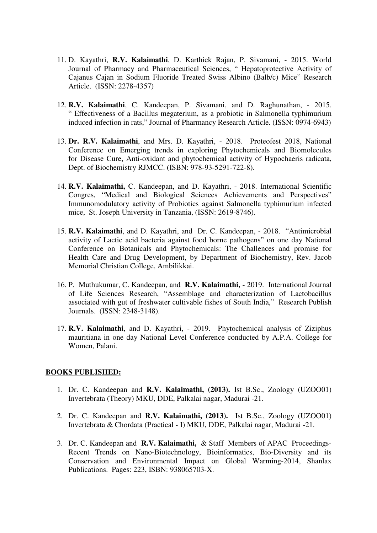- 11. D. Kayathri, **R.V. Kalaimathi**, D. Karthick Rajan, P. Sivamani, 2015. World Journal of Pharmacy and Pharmaceutical Sciences, " Hepatoprotective Activity of Cajanus Cajan in Sodium Fluoride Treated Swiss Albino (Balb/c) Mice" Research Article. (ISSN: 2278-4357)
- 12. **R.V. Kalaimathi**, C. Kandeepan, P. Sivamani, and D. Raghunathan, 2015. " Effectiveness of a Bacillus megaterium, as a probiotic in Salmonella typhimurium induced infection in rats," Journal of Pharmancy Research Article. (ISSN: 0974-6943)
- 13. **Dr. R.V. Kalaimathi**, and Mrs. D. Kayathri, 2018. Proteofest 2018, National Conference on Emerging trends in exploring Phytochemicals and Biomolecules for Disease Cure, Anti-oxidant and phytochemical activity of Hypochaeris radicata, Dept. of Biochemistry RJMCC. (ISBN: 978-93-5291-722-8).
- 14. **R.V. Kalaimathi,** C. Kandeepan, and D. Kayathri, 2018. International Scientific Congres, "Medical and Biological Sciences Achievements and Perspectives" Immunomodulatory activity of Probiotics against Salmonella typhimurium infected mice, St. Joseph University in Tanzania, (ISSN: 2619-8746).
- 15. **R.V. Kalaimathi**, and D. Kayathri, and Dr. C. Kandeepan, 2018. "Antimicrobial activity of Lactic acid bacteria against food borne pathogens" on one day National Conference on Botanicals and Phytochemicals: The Challences and promise for Health Care and Drug Development, by Department of Biochemistry, Rev. Jacob Memorial Christian College, Ambilikkai.
- 16. P. Muthukumar, C. Kandeepan, and **R.V. Kalaimathi,** 2019. International Journal of Life Sciences Research, "Assemblage and characterization of Lactobacillus associated with gut of freshwater cultivable fishes of South India," Research Publish Journals. (ISSN: 2348-3148).
- 17. **R.V. Kalaimathi**, and D. Kayathri, 2019. Phytochemical analysis of Ziziphus mauritiana in one day National Level Conference conducted by A.P.A. College for Women, Palani.

#### **BOOKS PUBLISHED:**

- 1. Dr. C. Kandeepan and **R.V. Kalaimathi, (2013).** Ist B.Sc., Zoology (UZOO01) Invertebrata (Theory) MKU, DDE, Palkalai nagar, Madurai -21.
- 2. Dr. C. Kandeepan and **R.V. Kalaimathi, (2013).** Ist B.Sc., Zoology (UZOO01) Invertebrata & Chordata (Practical - I) MKU, DDE, Palkalai nagar, Madurai -21.
- 3. Dr. C. Kandeepan and **R.V. Kalaimathi,** & Staff Members of APACProceedings-Recent Trends on Nano-Biotechnology, Bioinformatics, Bio-Diversity and its Conservation and Environmental Impact on Global Warming-2014, Shanlax Publications. Pages: 223, ISBN: 938065703-X.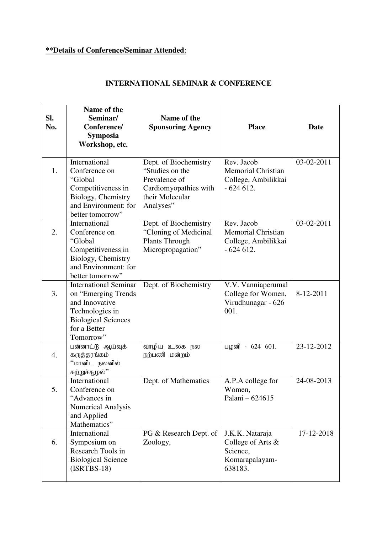# **\*\*Details of Conference/Seminar Attended**:

| SI.<br>No. | Name of the<br>Seminar/<br>Conference/<br><b>Symposia</b><br>Workshop, etc.                                                                         | Name of the<br><b>Sponsoring Agency</b>                                                                            | <b>Place</b>                                                                     | Date       |
|------------|-----------------------------------------------------------------------------------------------------------------------------------------------------|--------------------------------------------------------------------------------------------------------------------|----------------------------------------------------------------------------------|------------|
| 1.         | International<br>Conference on<br>"Global<br>Competitiveness in<br>Biology, Chemistry<br>and Environment: for<br>better tomorrow"                   | Dept. of Biochemistry<br>"Studies on the<br>Prevalence of<br>Cardiomyopathies with<br>their Molecular<br>Analyses" | Rev. Jacob<br><b>Memorial Christian</b><br>College, Ambilikkai<br>$-624612.$     | 03-02-2011 |
| 2.         | International<br>Conference on<br>"Global<br>Competitiveness in<br>Biology, Chemistry<br>and Environment: for<br>better tomorrow"                   | Dept. of Biochemistry<br>"Cloning of Medicinal<br>Plants Through<br>Micropropagation"                              | Rev. Jacob<br><b>Memorial Christian</b><br>College, Ambilikkai<br>$-624612.$     | 03-02-2011 |
| 3.         | <b>International Seminar</b><br>on "Emerging Trends<br>and Innovative<br>Technologies in<br><b>Biological Sciences</b><br>for a Better<br>Tomorrow" | Dept. of Biochemistry                                                                                              | V.V. Vanniaperumal<br>College for Women,<br>Virudhunagar - 626<br>001.           | 8-12-2011  |
| 4.         | பன்னாட்டு ஆய்வுக்<br>கருத்தரங்கம்<br>''மானிட நலனில்<br>சுற்றுச்சூழல்''                                                                              | வாழிய உலக நல<br>நற்பணி மன்றம்                                                                                      | பழனி - 624 601.                                                                  | 23-12-2012 |
| 5.         | International<br>Conference on<br>"Advances in<br><b>Numerical Analysis</b><br>and Applied<br>Mathematics"                                          | Dept. of Mathematics                                                                                               | A.P.A college for<br>Women,<br>Palani - 624615                                   | 24-08-2013 |
| 6.         | International<br>Symposium on<br>Research Tools in<br><b>Biological Science</b><br>$(ISRTBS-18)$                                                    | PG & Research Dept. of<br>Zoology,                                                                                 | J.K.K. Nataraja<br>College of Arts $\&$<br>Science,<br>Komarapalayam-<br>638183. | 17-12-2018 |

# **INTERNATIONAL SEMINAR & CONFERENCE**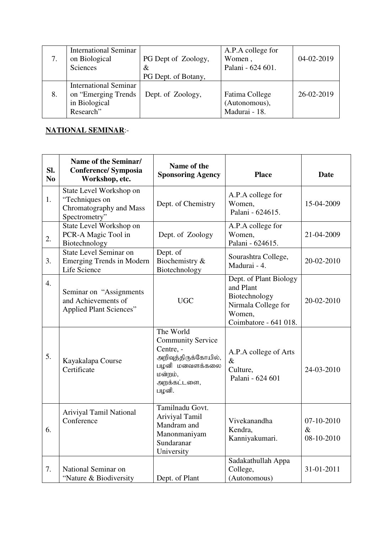|    | <b>International Seminar</b> |                     | A.P.A college for |            |
|----|------------------------------|---------------------|-------------------|------------|
|    | on Biological                | PG Dept of Zoology, | Women,            | 04-02-2019 |
|    | Sciences                     | $\&$                | Palani - 624 601. |            |
|    |                              | PG Dept. of Botany, |                   |            |
|    | <b>International Seminar</b> |                     |                   |            |
| 8. | on "Emerging Trends"         | Dept. of Zoology,   | Fatima College    | 26-02-2019 |
|    | in Biological                |                     | (Autonomous),     |            |
|    | Research"                    |                     | Madurai - 18.     |            |

# **NATIONAL SEMINAR**:-

| SI.<br>N <sub>0</sub> | Name of the Seminar/<br><b>Conference/ Symposia</b><br>Workshop, etc.                 | Name of the<br><b>Sponsoring Agency</b>                                                                                         | <b>Place</b>                                                                                                   | <b>Date</b>                      |
|-----------------------|---------------------------------------------------------------------------------------|---------------------------------------------------------------------------------------------------------------------------------|----------------------------------------------------------------------------------------------------------------|----------------------------------|
| 1.                    | State Level Workshop on<br>"Techniques on<br>Chromatography and Mass<br>Spectrometry" | Dept. of Chemistry                                                                                                              | A.P.A college for<br>Women,<br>Palani - 624615.                                                                | 15-04-2009                       |
| 2.                    | State Level Workshop on<br>PCR-A Magic Tool in<br>Biotechnology                       | Dept. of Zoology                                                                                                                | A.P.A college for<br>Women,<br>Palani - 624615.                                                                | 21-04-2009                       |
| 3.                    | State Level Seminar on<br><b>Emerging Trends in Modern</b><br>Life Science            | Dept. of<br>Biochemistry &<br>Biotechnology                                                                                     | Sourashtra College,<br>Madurai - 4.                                                                            | 20-02-2010                       |
| 4.                    | Seminar on "Assignments"<br>and Achievements of<br><b>Applied Plant Sciences"</b>     | <b>UGC</b>                                                                                                                      | Dept. of Plant Biology<br>and Plant<br>Biotechnology<br>Nirmala College for<br>Women,<br>Coimbatore - 641 018. | 20-02-2010                       |
| 5.                    | Kayakalapa Course<br>Certificate                                                      | The World<br><b>Community Service</b><br>Centre, -<br>அறிவுத்திருக்கோயில்,<br>பழனி மனவளக்கலை<br>மன்றம்,<br>அறக்கட்டளை,<br>பழனி. | A.P.A college of Arts<br>$\&$<br>Culture,<br>Palani - 624 601                                                  | 24-03-2010                       |
| 6.                    | Ariviyal Tamil National<br>Conference                                                 | Tamilnadu Govt.<br>Ariviyal Tamil<br>Mandram and<br>Manonmaniyam<br>Sundaranar<br>University                                    | Vivekanandha<br>Kendra,<br>Kanniyakumari.                                                                      | 07-10-2010<br>$\&$<br>08-10-2010 |
| 7.                    | National Seminar on<br>"Nature & Biodiversity                                         | Dept. of Plant                                                                                                                  | Sadakathullah Appa<br>College,<br>(Autonomous)                                                                 | 31-01-2011                       |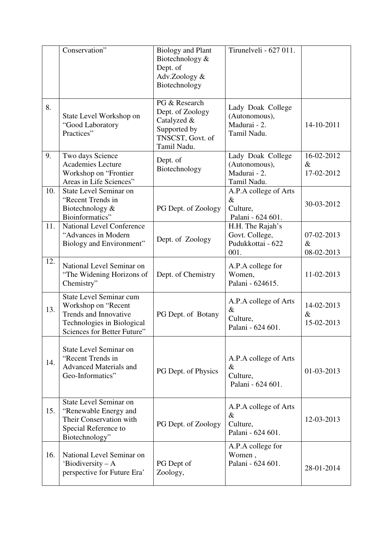|     | Conservation"                                                                                                                               | <b>Biology and Plant</b><br>Biotechnology &<br>Dept. of<br>Adv.Zoology &<br>Biotechnology           | Tirunelveli - 627 011.                                            |                                  |
|-----|---------------------------------------------------------------------------------------------------------------------------------------------|-----------------------------------------------------------------------------------------------------|-------------------------------------------------------------------|----------------------------------|
| 8.  | State Level Workshop on<br>"Good Laboratory<br>Practices"                                                                                   | PG & Research<br>Dept. of Zoology<br>Catalyzed &<br>Supported by<br>TNSCST, Govt. of<br>Tamil Nadu. | Lady Doak College<br>(Autonomous),<br>Madurai - 2.<br>Tamil Nadu. | 14-10-2011                       |
| 9.  | Two days Science<br><b>Academies Lecture</b><br>Workshop on "Frontier<br>Areas in Life Sciences"                                            | Dept. of<br>Biotechnology                                                                           | Lady Doak College<br>(Autonomous),<br>Madurai - 2.<br>Tamil Nadu. | 16-02-2012<br>$\&$<br>17-02-2012 |
| 10. | State Level Seminar on<br>"Recent Trends in<br>Biotechnology &<br>Bioinformatics"                                                           | PG Dept. of Zoology                                                                                 | A.P.A college of Arts<br>$\&$<br>Culture,<br>Palani - 624 601.    | 30-03-2012                       |
| 11. | <b>National Level Conference</b><br>"Advances in Modern<br>Biology and Environment"                                                         | Dept. of Zoology                                                                                    | H.H. The Rajah's<br>Govt. College,<br>Pudukkottai - 622<br>001.   | 07-02-2013<br>$\&$<br>08-02-2013 |
| 12. | National Level Seminar on<br>"The Widening Horizons of<br>Chemistry"                                                                        | Dept. of Chemistry                                                                                  | A.P.A college for<br>Women,<br>Palani - 624615.                   | 11-02-2013                       |
| 13. | State Level Seminar cum<br>Workshop on "Recent<br>Trends and Innovative<br>Technologies in Biological<br><b>Sciences for Better Future"</b> | PG Dept. of Botany                                                                                  | A.P.A college of Arts<br>$\&$<br>Culture,<br>Palani - 624 601     | 14-02-2013<br>$\&$<br>15-02-2013 |
| 14. | State Level Seminar on<br>"Recent Trends in<br><b>Advanced Materials and</b><br>Geo-Informatics"                                            | PG Dept. of Physics                                                                                 | A.P.A college of Arts<br>$\&$<br>Culture,<br>Palani - 624 601.    | 01-03-2013                       |
| 15. | State Level Seminar on<br>"Renewable Energy and<br>Their Conservation with<br>Special Reference to<br>Biotechnology"                        | PG Dept. of Zoology                                                                                 | A.P.A college of Arts<br>$\&$<br>Culture,<br>Palani - 624 601.    | 12-03-2013                       |
| 16. | National Level Seminar on<br>'Biodiversity $-A$<br>perspective for Future Era'                                                              | PG Dept of<br>Zoology,                                                                              | A.P.A college for<br>Women,<br>Palani - 624 601.                  | 28-01-2014                       |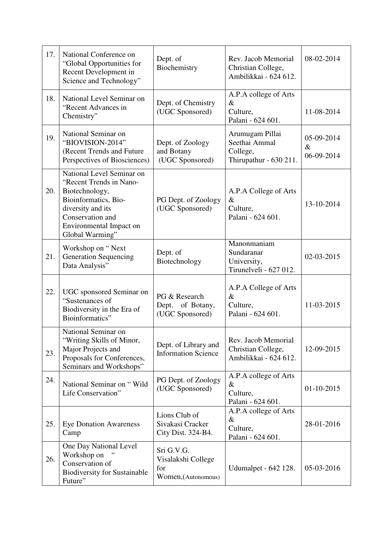| 17. | National Conference on<br>"Global Opportunities for<br>Recent Development in<br>Science and Technology"                                                                               | Dept. of<br>Biochemistry                                       | Rev. Jacob Memorial<br>Christian College,<br>Ambilikkai - 624 612.     | 08-02-2014                       |
|-----|---------------------------------------------------------------------------------------------------------------------------------------------------------------------------------------|----------------------------------------------------------------|------------------------------------------------------------------------|----------------------------------|
| 18. | National Level Seminar on<br>"Recent Advances in<br>Chemistry"                                                                                                                        | Dept. of Chemistry<br>(UGC Sponsored)                          | A.P.A college of Arts<br>$\&$<br>Culture,<br>Palani - 624 601.         | 11-08-2014                       |
| 19. | National Seminar on<br>"BIOVISION-2014"<br>(Recent Trends and Future<br>Perspectives of Biosciences)                                                                                  | Dept. of Zoology<br>and Botany<br>(UGC Sponsored)              | Arumugam Pillai<br>Seethai Ammal<br>College,<br>Thirupathur - 630 211. | 05-09-2014<br>$\&$<br>06-09-2014 |
| 20. | National Level Seminar on<br>"Recent Trends in Nano-<br>Biotechnology,<br>Bioinformatics, Bio-<br>diversity and its<br>Conservation and<br>Environmental Impact on<br>Global Warming" | PG Dept. of Zoology<br>(UGC Sponsored)                         | A.P.A College of Arts<br>$\&$<br>Culture,<br>Palani - 624 601.         | 13-10-2014                       |
| 21. | Workshop on "Next"<br><b>Generation Sequencing</b><br>Data Analysis"                                                                                                                  | Dept. of<br>Biotechnology                                      | Manonmaniam<br>Sundaranar<br>University,<br>Tirunelveli - 627 012.     | 02-03-2015                       |
| 22. | UGC sponsored Seminar on<br>"Sustenances of<br>Biodiversity in the Era of<br>Bioinformatics"                                                                                          | PG & Research<br>Dept. of Botany,<br>(UGC Sponsored)           | A.P.A College of Arts<br>$\&$<br>Culture,<br>Palani - 624 601.         | 11-03-2015                       |
| 23. | National Seminar on<br>"Writing Skills of Minor,<br>Major Projects and<br>Proposals for Conferences,<br>Seminars and Workshops"                                                       | Dept. of Library and<br><b>Information Science</b>             | Rev. Jacob Memorial<br>Christian College,<br>Ambilikkai - 624 612.     | 12-09-2015                       |
| 24. | National Seminar on "Wild<br>Life Conservation"                                                                                                                                       | PG Dept. of Zoology<br>(UGC Sponsored)                         | A.P.A college of Arts<br>$\&$<br>Culture,<br>Palani - 624 601.         | 01-10-2015                       |
| 25. | <b>Eye Donation Awareness</b><br>Camp                                                                                                                                                 | Lions Club of<br>Sivakasi Cracker<br>City Dist. 324-B4.        | A.P.A college of Arts<br>$\&$<br>Culture,<br>Palani - 624 601.         | 28-01-2016                       |
| 26. | One Day National Level<br>Workshop on<br>Conservation of<br><b>Biodiversity for Sustainable</b><br>Future"                                                                            | Sri G.V.G.<br>Visalakshi College<br>for<br>Women, (Autonomous) | Udumalpet - 642 128.                                                   | 05-03-2016                       |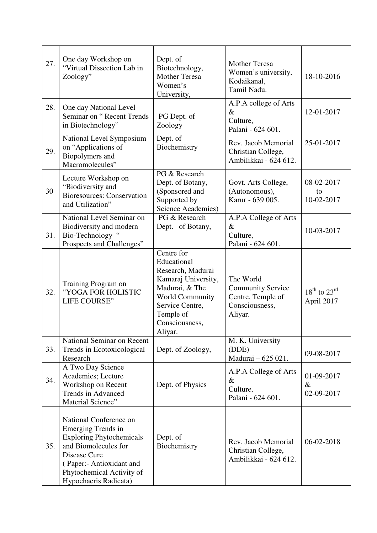| 27. | One day Workshop on<br>"Virtual Dissection Lab in<br>Zoology"                                                                                                                                                    | Dept. of<br>Biotechnology,<br><b>Mother Teresa</b><br>Women's<br>University,                                                                                                   | <b>Mother Teresa</b><br>Women's university,<br>Kodaikanal,<br>Tamil Nadu.               | 18-10-2016                           |
|-----|------------------------------------------------------------------------------------------------------------------------------------------------------------------------------------------------------------------|--------------------------------------------------------------------------------------------------------------------------------------------------------------------------------|-----------------------------------------------------------------------------------------|--------------------------------------|
| 28. | One day National Level<br>Seminar on "Recent Trends<br>in Biotechnology"                                                                                                                                         | PG Dept. of<br>Zoology                                                                                                                                                         | A.P.A college of Arts<br>$\&$<br>Culture,<br>Palani - 624 601.                          | 12-01-2017                           |
| 29. | National Level Symposium<br>on "Applications of<br>Biopolymers and<br>Macromolecules"                                                                                                                            | Dept. of<br>Biochemistry                                                                                                                                                       | Rev. Jacob Memorial<br>Christian College,<br>Ambilikkai - 624 612.                      | 25-01-2017                           |
| 30  | Lecture Workshop on<br>"Biodiversity and<br><b>Bioresources: Conservation</b><br>and Utilization"                                                                                                                | PG & Research<br>Dept. of Botany,<br>(Sponsored and<br>Supported by<br><b>Science Academies)</b>                                                                               | Govt. Arts College,<br>(Autonomous),<br>Karur - 639 005.                                | 08-02-2017<br>to<br>10-02-2017       |
| 31. | National Level Seminar on<br>Biodiversity and modern<br>Bio-Technology "<br>Prospects and Challenges"                                                                                                            | PG & Research<br>Dept. of Botany,                                                                                                                                              | A.P.A College of Arts<br>$\&$<br>Culture,<br>Palani - 624 601.                          | 10-03-2017                           |
| 32. | Training Program on<br>"YOGA FOR HOLISTIC<br>LIFE COURSE"                                                                                                                                                        | Centre for<br>Educational<br>Research, Madurai<br>Kamaraj University,<br>Madurai, & The<br><b>World Community</b><br>Service Centre,<br>Temple of<br>Consciousness,<br>Aliyar. | The World<br><b>Community Service</b><br>Centre, Temple of<br>Consciousness,<br>Aliyar. | $18^{th}$ to $23^{rd}$<br>April 2017 |
| 33. | National Seminar on Recent<br>Trends in Ecotoxicological<br>Research                                                                                                                                             | Dept. of Zoology,                                                                                                                                                              | M. K. University<br>(DDE)<br>Madurai - 625 021.                                         | 09-08-2017                           |
| 34. | A Two Day Science<br>Academies; Lecture<br>Workshop on Recent<br><b>Trends in Advanced</b><br>Material Science"                                                                                                  | Dept. of Physics                                                                                                                                                               | A.P.A College of Arts<br>$\&$<br>Culture,<br>Palani - 624 601.                          | 01-09-2017<br>$\&$<br>02-09-2017     |
| 35. | National Conference on<br><b>Emerging Trends in</b><br><b>Exploring Phytochemicals</b><br>and Biomolecules for<br>Disease Cure<br>(Paper:- Antioxidant and<br>Phytochemical Activity of<br>Hypochaeris Radicata) | Dept. of<br>Biochemistry                                                                                                                                                       | Rev. Jacob Memorial<br>Christian College,<br>Ambilikkai - 624 612.                      | 06-02-2018                           |